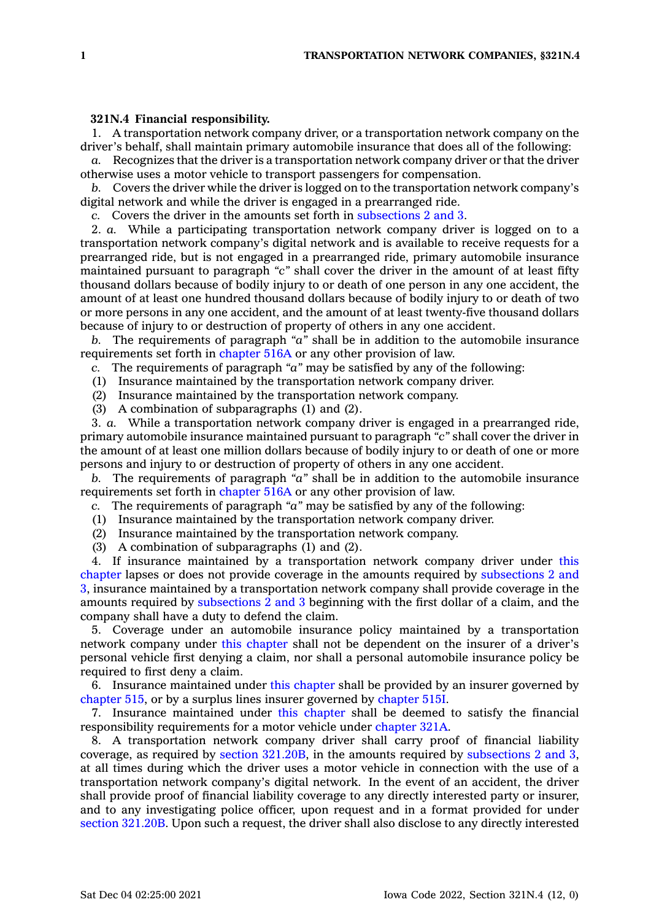## **321N.4 Financial responsibility.**

1. A transportation network company driver, or <sup>a</sup> transportation network company on the driver's behalf, shall maintain primary automobile insurance that does all of the following:

*a.* Recognizes that the driver is <sup>a</sup> transportation network company driver or that the driver otherwise uses <sup>a</sup> motor vehicle to transport passengers for compensation.

*b.* Covers the driver while the driver is logged on to the transportation network company's digital network and while the driver is engaged in <sup>a</sup> prearranged ride.

*c.* Covers the driver in the amounts set forth in [subsections](https://www.legis.iowa.gov/docs/code/321N.4.pdf) 2 and 3.

2. *a.* While <sup>a</sup> participating transportation network company driver is logged on to <sup>a</sup> transportation network company's digital network and is available to receive requests for <sup>a</sup> prearranged ride, but is not engaged in <sup>a</sup> prearranged ride, primary automobile insurance maintained pursuant to paragraph *"c"* shall cover the driver in the amount of at least fifty thousand dollars because of bodily injury to or death of one person in any one accident, the amount of at least one hundred thousand dollars because of bodily injury to or death of two or more persons in any one accident, and the amount of at least twenty-five thousand dollars because of injury to or destruction of property of others in any one accident.

*b.* The requirements of paragraph *"a"* shall be in addition to the automobile insurance requirements set forth in [chapter](https://www.legis.iowa.gov/docs/code//516A.pdf) 516A or any other provision of law.

*c.* The requirements of paragraph *"a"* may be satisfied by any of the following:

- (1) Insurance maintained by the transportation network company driver.
- (2) Insurance maintained by the transportation network company.
- (3) A combination of subparagraphs (1) and (2).

3. *a.* While <sup>a</sup> transportation network company driver is engaged in <sup>a</sup> prearranged ride, primary automobile insurance maintained pursuant to paragraph *"c"* shall cover the driver in the amount of at least one million dollars because of bodily injury to or death of one or more persons and injury to or destruction of property of others in any one accident.

*b.* The requirements of paragraph *"a"* shall be in addition to the automobile insurance requirements set forth in [chapter](https://www.legis.iowa.gov/docs/code//516A.pdf) 516A or any other provision of law.

*c.* The requirements of paragraph *"a"* may be satisfied by any of the following:

- (1) Insurance maintained by the transportation network company driver.
- (2) Insurance maintained by the transportation network company.
- (3) A combination of subparagraphs (1) and (2).

4. If insurance maintained by <sup>a</sup> transportation network company driver under [this](https://www.legis.iowa.gov/docs/code//321N.pdf) [chapter](https://www.legis.iowa.gov/docs/code//321N.pdf) lapses or does not provide coverage in the amounts required by [subsections](https://www.legis.iowa.gov/docs/code/321N.4.pdf) 2 and [3](https://www.legis.iowa.gov/docs/code/321N.4.pdf), insurance maintained by <sup>a</sup> transportation network company shall provide coverage in the amounts required by [subsections](https://www.legis.iowa.gov/docs/code/321N.4.pdf) 2 and 3 beginning with the first dollar of <sup>a</sup> claim, and the company shall have <sup>a</sup> duty to defend the claim.

5. Coverage under an automobile insurance policy maintained by <sup>a</sup> transportation network company under this [chapter](https://www.legis.iowa.gov/docs/code//321N.pdf) shall not be dependent on the insurer of <sup>a</sup> driver's personal vehicle first denying <sup>a</sup> claim, nor shall <sup>a</sup> personal automobile insurance policy be required to first deny <sup>a</sup> claim.

6. Insurance maintained under this [chapter](https://www.legis.iowa.gov/docs/code//321N.pdf) shall be provided by an insurer governed by [chapter](https://www.legis.iowa.gov/docs/code//515.pdf) 515, or by <sup>a</sup> surplus lines insurer governed by [chapter](https://www.legis.iowa.gov/docs/code//515I.pdf) 515I.

7. Insurance maintained under this [chapter](https://www.legis.iowa.gov/docs/code//321N.pdf) shall be deemed to satisfy the financial responsibility requirements for <sup>a</sup> motor vehicle under [chapter](https://www.legis.iowa.gov/docs/code//321A.pdf) 321A.

8. A transportation network company driver shall carry proof of financial liability coverage, as required by section [321.20B](https://www.legis.iowa.gov/docs/code/321.20B.pdf), in the amounts required by [subsections](https://www.legis.iowa.gov/docs/code/321N.4.pdf) 2 and 3, at all times during which the driver uses <sup>a</sup> motor vehicle in connection with the use of <sup>a</sup> transportation network company's digital network. In the event of an accident, the driver shall provide proof of financial liability coverage to any directly interested party or insurer, and to any investigating police officer, upon request and in <sup>a</sup> format provided for under section [321.20B](https://www.legis.iowa.gov/docs/code/321.20B.pdf). Upon such <sup>a</sup> request, the driver shall also disclose to any directly interested